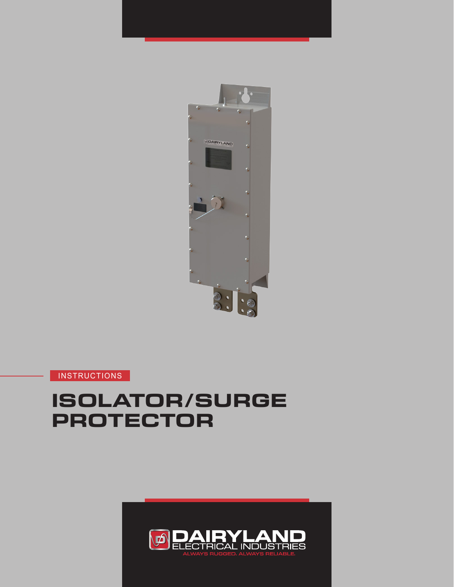

**INSTRUCTIONS** 

# **ISOLATOR/SURGE PROTECTOR**

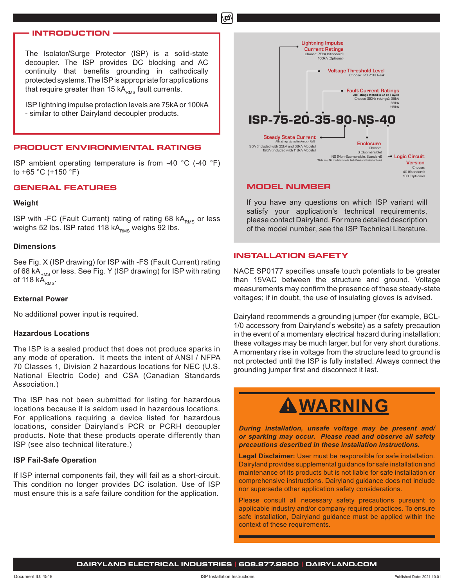## **INTRODUCTION**

The Isolator/Surge Protector (ISP) is a solid-state decoupler. The ISP provides DC blocking and AC continuity that benefits grounding in cathodically protected systems. The ISP is appropriate for applications that require greater than 15  $kA<sub>RMS</sub>$  fault currents.

ISP lightning impulse protection levels are 75kA or 100kA - similar to other Dairyland decoupler products.

### **PRODUCT ENVIRONMENTAL RATINGS**

ISP ambient operating temperature is from -40 °C (-40 °F) to +65 °C (+150 °F)

## **GENERAL FEATURES**

#### **Weight**

ISP with -FC (Fault Current) rating of rating 68 kA<sub>RMS</sub> or less weighs 52 lbs. ISP rated 118  $kA<sub>RMS</sub>$  weighs 92 lbs.

#### **Dimensions**

See Fig. X (ISP drawing) for ISP with -FS (Fault Current) rating of 68 kA<sub>RMS</sub> or less. See Fig. Y (ISP drawing) for ISP with rating of 118 $kA<sub>RMS</sub>$ .

#### **External Power**

No additional power input is required.

### **Hazardous Locations**

The ISP is a sealed product that does not produce sparks in any mode of operation. It meets the intent of ANSI / NFPA 70 Classes 1, Division 2 hazardous locations for NEC (U.S. National Electric Code) and CSA (Canadian Standards Association.)

The ISP has not been submitted for listing for hazardous locations because it is seldom used in hazardous locations. For applications requiring a device listed for hazardous locations, consider Dairyland's PCR or PCRH decoupler products. Note that these products operate differently than ISP (see also technical literature.)

## **ISP Fail-Safe Operation**

If ISP internal components fail, they will fail as a short-circuit. This condition no longer provides DC isolation. Use of ISP must ensure this is a safe failure condition for the application.



#### **MODEL NUMBER**

மி

If you have any questions on which ISP variant will satisfy your application's technical requirements, please contact Dairyland. For more detailed description of the model number, see the ISP Technical Literature.

#### **INSTALLATION SAFETY**

NACE SP0177 specifies unsafe touch potentials to be greater than 15VAC between the structure and ground. Voltage measurements may confirm the presence of these steady-state voltages; if in doubt, the use of insulating gloves is advised.

Dairyland recommends a grounding jumper (for example, BCL-1/0 accessory from Dairyland's website) as a safety precaution in the event of a momentary electrical hazard during installation; these voltages may be much larger, but for very short durations. A momentary rise in voltage from the structure lead to ground is not protected until the ISP is fully installed. Always connect the grounding jumper first and disconnect it last.

# **WARNING**

*During installation, unsafe voltage may be present and/ or sparking may occur. Please read and observe all safety precautions described in these installation instructions.*

**Legal Disclaimer:** User must be responsible for safe installation. Dairyland provides supplemental guidance for safe installation and maintenance of its products but is not liable for safe installation or comprehensive instructions. Dairyland guidance does not include nor supersede other application safety considerations.

Please consult all necessary safety precautions pursuant to applicable industry and/or company required practices. To ensure safe installation, Dairyland guidance must be applied within the context of these requirements.

**DAIRYLAND ELECTRICAL INDUSTRIES | 608.877.9900 | DAIRYLAND.COM**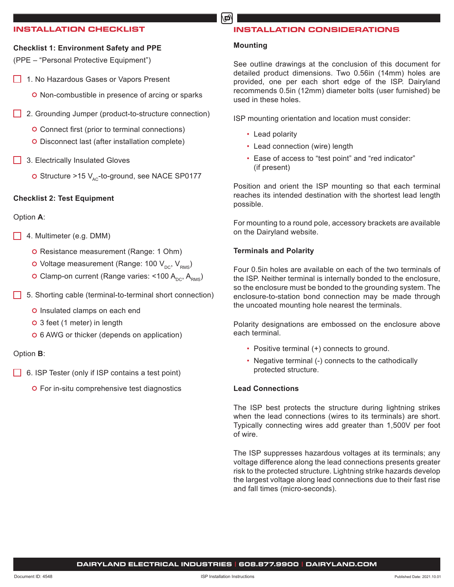## **INSTALLATION CHECKLIST**

# **Checklist 1: Environment Safety and PPE**

(PPE – "Personal Protective Equipment")

- 1. No Hazardous Gases or Vapors Present
	- O Non-combustible in presence of arcing or sparks
- 2. Grounding Jumper (product-to-structure connection)
	- Connect first (prior to terminal connections)
	- Disconnect last (after installation complete)
- **3. Electrically Insulated Gloves** 
	- O Structure >15  $V_{AC}$ -to-ground, see NACE SP0177

## **Checklist 2: Test Equipment**

## Option **A**:

- 4. Multimeter (e.g. DMM)
	- O Resistance measurement (Range: 1 Ohm)
	- O Voltage measurement (Range: 100  $V_{DC}$ ,  $V_{RMS}$ )
	- O Clamp-on current (Range varies: <100  $A_{\text{DC}}$ ,  $A_{\text{RMS}}$ )
- 5. Shorting cable (terminal-to-terminal short connection)
	- **O** Insulated clamps on each end
	- 3 feet (1 meter) in length
	- 6 AWG or thicker (depends on application)

## Option **B**:

- 6. ISP Tester (only if ISP contains a test point)
	- For in-situ comprehensive test diagnostics

# **INSTALLATION CONSIDERATIONS**

## **Mounting**

மி

See outline drawings at the conclusion of this document for detailed product dimensions. Two 0.56in (14mm) holes are provided, one per each short edge of the ISP. Dairyland recommends 0.5in (12mm) diameter bolts (user furnished) be used in these holes.

ISP mounting orientation and location must consider:

- Lead polarity
- Lead connection (wire) length
- Ease of access to "test point" and "red indicator" (if present)

Position and orient the ISP mounting so that each terminal reaches its intended destination with the shortest lead length possible.

For mounting to a round pole, accessory brackets are available on the Dairyland website.

## **Terminals and Polarity**

Four 0.5in holes are available on each of the two terminals of the ISP. Neither terminal is internally bonded to the enclosure, so the enclosure must be bonded to the grounding system. The enclosure-to-station bond connection may be made through the uncoated mounting hole nearest the terminals.

Polarity designations are embossed on the enclosure above each terminal.

- Positive terminal (+) connects to ground.
- Negative terminal (-) connects to the cathodically protected structure.

## **Lead Connections**

The ISP best protects the structure during lightning strikes when the lead connections (wires to its terminals) are short. Typically connecting wires add greater than 1,500V per foot of wire.

The ISP suppresses hazardous voltages at its terminals; any voltage difference along the lead connections presents greater risk to the protected structure. Lightning strike hazards develop the largest voltage along lead connections due to their fast rise and fall times (micro-seconds).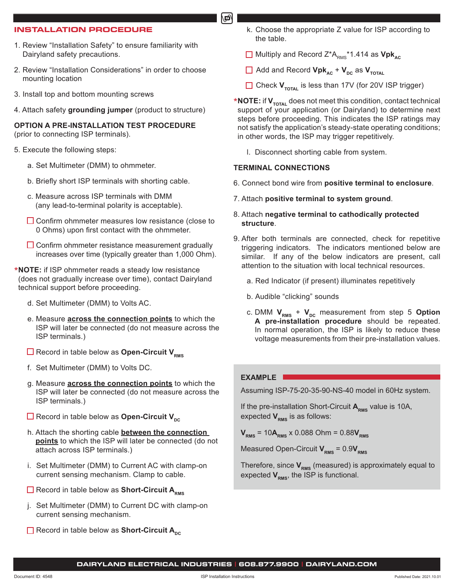## **INSTALLATION PROCEDURE**

- 1. Review "Installation Safety" to ensure familiarity with Dairyland safety precautions.
- 2. Review "Installation Considerations" in order to choose mounting location
- 3. Install top and bottom mounting screws
- 4. Attach safety **grounding jumper** (product to structure)

**OPTION A PRE-INSTALLATION TEST PROCEDURE** (prior to connecting ISP terminals).

- 5. Execute the following steps:
	- a. Set Multimeter (DMM) to ohmmeter.
	- b. Briefly short ISP terminals with shorting cable.
	- c. Measure across ISP terminals with DMM (any lead-to-terminal polarity is acceptable).
	- $\Box$  Confirm ohmmeter measures low resistance (close to 0 Ohms) upon first contact with the ohmmeter.
	- $\square$  Confirm ohmmeter resistance measurement gradually increases over time (typically greater than 1,000 Ohm).
- \***NOTE:** if ISP ohmmeter reads a steady low resistance (does not gradually increase over time), contact Dairyland technical support before proceeding.
	- d. Set Multimeter (DMM) to Volts AC.
	- e. Measure **across the connection points** to which the ISP will later be connected (do not measure across the ISP terminals.)
	- Record in table below as **Open-Circuit V**<sub>PMS</sub>
	- f. Set Multimeter (DMM) to Volts DC.
	- g. Measure **across the connection points** to which the ISP will later be connected (do not measure across the ISP terminals.)
	- **Example 2** Record in table below as **Open-Circuit V**<sub>nc</sub>
	- h. Attach the shorting cable **between the connection points** to which the ISP will later be connected (do not attach across ISP terminals.)
	- i. Set Multimeter (DMM) to Current AC with clamp-on current sensing mechanism. Clamp to cable.
	- **H** Record in table below as **Short-Circuit A**<sub>PMS</sub>
	- j. Set Multimeter (DMM) to Current DC with clamp-on current sensing mechanism.
	- **Record in table below as Short-Circuit A<sub>nc</sub>**
- k. Choose the appropriate Z value for ISP according to the table.
- □ Multiply and Record Z<sup>\*</sup>A<sub>pMs</sub><sup>\*</sup>1.414 as Vpk<sub>AC</sub>
- $\Box$  Add and Record **Vpk**<sub>AC</sub> + **V**<sub>DC</sub> as **V**<sub>TOTAL</sub>
- □ Check **V<sub>TOTAL</sub>** is less than 17V (for 20V ISP trigger)
- \***NOTE:** if **V**<sub>TOTAL</sub> does not meet this condition, contact technical support of your application (or Dairyland) to determine next steps before proceeding. This indicates the ISP ratings may not satisfy the application's steady-state operating conditions; in other words, the ISP may trigger repetitively.
	- l. Disconnect shorting cable from system.

## **TERMINAL CONNECTIONS**

டி

- 6. Connect bond wire from **positive terminal to enclosure**.
- 7. Attach **positive terminal to system ground**.
- 8. Attach **negative terminal to cathodically protected structure**.
- 9. After both terminals are connected, check for repetitive triggering indicators. The indicators mentioned below are similar. If any of the below indicators are present, call attention to the situation with local technical resources.
	- a. Red Indicator (if present) illuminates repetitively
	- b. Audible "clicking" sounds
	- c. DMM  $V_{RMS}$  +  $V_{DC}$  measurement from step 5 Option **A pre-installation procedure** should be repeated. In normal operation, the ISP is likely to reduce these voltage measurements from their pre-installation values.

## **EXAMPLE**

Assuming ISP-75-20-35-90-NS-40 model in 60Hz system.

If the pre-installation Short-Circuit A<sub>RMS</sub> value is 10A, expected  $V_{\text{PMS}}$  is as follows:

 $V_{RMS}$  = 10 $A_{RMS}$  x 0.088 Ohm = 0.88 $V_{RMS}$ 

Measured Open-Circuit  $V_{PMS} = 0.9V_{PMS}$ 

Therefore, since  $V_{RMS}$  (measured) is approximately equal to expected  $V_{\rm rms}$ , the ISP is functional.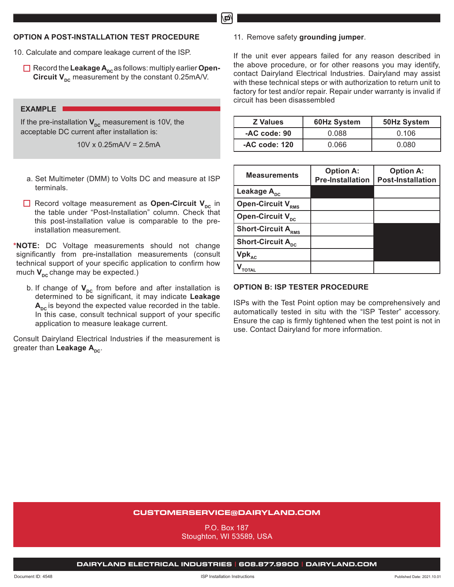## **OPTION A POST-INSTALLATION TEST PROCEDURE**

- 10. Calculate and compare leakage current of the ISP.
	- $\Box$  Record the Leakage A<sub>pc</sub> as follows: multiply earlier Open-**Circuit**  $V_{\text{nc}}$  measurement by the constant 0.25mA/V.

## **EXAMPLE**

If the pre-installation **V**<sub>nc</sub> measurement is 10V, the acceptable DC current after installation is:

10V x 0.25mA/V = 2.5mA

- a. Set Multimeter (DMM) to Volts DC and measure at ISP terminals.
- **EXECORDER IN A Record voltage measurement as Open-Circuit V<sub>DC</sub>** in the table under "Post-Installation" column. Check that this post-installation value is comparable to the preinstallation measurement.

**\*NOTE:** DC Voltage measurements should not change significantly from pre-installation measurements (consult technical support of your specific application to confirm how much  $V_{\text{nc}}$  change may be expected.)

b. If change of  $V_{\text{pc}}$  from before and after installation is determined to be significant, it may indicate **Leakage**  A<sub>nc</sub> is beyond the expected value recorded in the table. In this case, consult technical support of your specific application to measure leakage current.

Consult Dairyland Electrical Industries if the measurement is greater than Leakage A<sub>pc</sub>.

11. Remove safety **grounding jumper**.

If the unit ever appears failed for any reason described in the above procedure, or for other reasons you may identify, contact Dairyland Electrical Industries. Dairyland may assist with these technical steps or with authorization to return unit to factory for test and/or repair. Repair under warranty is invalid if circuit has been disassembled

| <b>Z</b> Values | 60Hz System | 50Hz System |
|-----------------|-------------|-------------|
| -AC code: 90    | 0.088       | 0.106       |
| $-AC code: 120$ | 0.066       | 0.080       |

| <b>Measurements</b>                 | <b>Option A:</b><br><b>Pre-Installation</b> | <b>Option A:</b><br><b>Post-Installation</b> |
|-------------------------------------|---------------------------------------------|----------------------------------------------|
| Leakage A <sub>pc</sub>             |                                             |                                              |
| <b>Open-Circuit V<sub>RMS</sub></b> |                                             |                                              |
| Open-Circuit V <sub>pc</sub>        |                                             |                                              |
| <b>Short-Circuit ARMS</b>           |                                             |                                              |
| <b>Short-Circuit Apc</b>            |                                             |                                              |
| $Vpk_{AC}$                          |                                             |                                              |
|                                     |                                             |                                              |

### **OPTION B: ISP TESTER PROCEDURE**

ISPs with the Test Point option may be comprehensively and automatically tested in situ with the "ISP Tester" accessory. Ensure the cap is firmly tightened when the test point is not in use. Contact Dairyland for more information.

## **CUSTOMERSERVICE@DAIRYLAND.COM**

P.O. Box 187 Stoughton, WI 53589, USA

**DAIRYLAND ELECTRICAL INDUSTRIES | 608.877.9900 | DAIRYLAND.COM**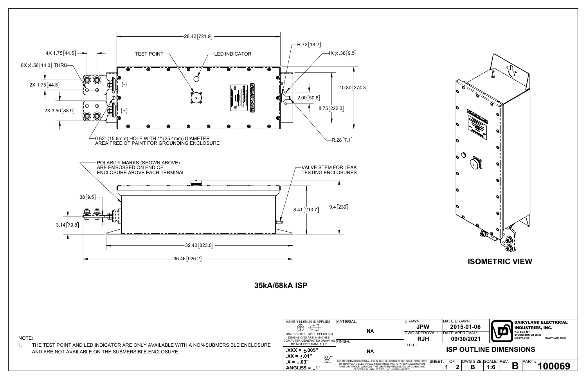

NOTE:

| $\mathbf{H}$<br>p<br>d<br>П<br>П<br>b<br>0 <br>П<br>$\mathbf{H}$<br>Đ<br>$\partial$<br>П<br>$\mathbf{H}$<br>O<br>$\mathbf{q}$<br>П<br>$\mathbf{H}$<br>Ø<br>$\mathbf{q}$<br>П<br>$\mathbf{H}$<br>d<br><b>BU</b><br><b>ISOMETRIC VIEW</b><br><b>DATE DRAWN:</b><br><b>DAIRYLAND ELECTRICAL</b><br><b>JPW</b><br>2015-01-06<br><b>INDUSTRIES, INC.</b><br>P.O. BOX 187<br><b>DATE APPROVAL:</b><br>DWG APPROVAL:<br>STOUGHTON, WI 53589<br>09/30/2021<br><b>RJH</b><br>608-877-9900<br>DAIRYLAND.COM<br><b>ISP OUTLINE DIMENSIONS</b><br>DWG SIZE: SCALE: REV:<br>SHEET:<br>OF<br>PART#:<br>100069<br>В<br>$\mathbf 2$<br>B<br>1:6<br>1 |                                                 |  | Đ<br>p<br>p | Ø<br><b>RANTINO</b> | j<br>Ŏ<br>$\sum_{i=1}^{n}$ | $\mathbf{o}$<br>Ó<br>$\mathbf{H}$ |  |
|--------------------------------------------------------------------------------------------------------------------------------------------------------------------------------------------------------------------------------------------------------------------------------------------------------------------------------------------------------------------------------------------------------------------------------------------------------------------------------------------------------------------------------------------------------------------------------------------------------------------------------------|-------------------------------------------------|--|-------------|---------------------|----------------------------|-----------------------------------|--|
|                                                                                                                                                                                                                                                                                                                                                                                                                                                                                                                                                                                                                                      |                                                 |  |             |                     |                            |                                   |  |
|                                                                                                                                                                                                                                                                                                                                                                                                                                                                                                                                                                                                                                      | DRAWN:                                          |  |             |                     |                            |                                   |  |
|                                                                                                                                                                                                                                                                                                                                                                                                                                                                                                                                                                                                                                      | TITLE:<br><b>SOLE PROPERTY</b><br>PRODUCTION IN |  |             |                     |                            |                                   |  |
|                                                                                                                                                                                                                                                                                                                                                                                                                                                                                                                                                                                                                                      | N OF DIARYLAND<br>TED.                          |  |             |                     |                            |                                   |  |

1. THE TEST POINT AND LED INDICATOR ARE ONLY AVAILABLE WITH A NON-SUBMERSIBLE ENCLOSURE AND ARE NOT AVAILABLE ON THE SUBMERSIBLE ENCLOSURE.

| ASME Y14.5M 2018 APPLIES                                    | MATERIAL:                                                                                                                      | DRAWN:                            |
|-------------------------------------------------------------|--------------------------------------------------------------------------------------------------------------------------------|-----------------------------------|
|                                                             |                                                                                                                                | <b>JPW</b>                        |
| UNLESS OTHERWISE SPECIFIED<br>DIMENSIONS ARE IN INCHES.     | NΑ                                                                                                                             | <b>DWG APPROV</b>                 |
| COMPUTER-GENERATED DRAWING FINISH:<br>DO NOT EDIT MANUALLY. |                                                                                                                                | <b>RJH</b><br>TITI F <sup>-</sup> |
| $\text{.XXX} = +.005"$                                      | <b>NA</b>                                                                                                                      |                                   |
| $.XX = +.01"$<br>63                                         |                                                                                                                                |                                   |
| $.X = +.03"$                                                | THE INFORMATION CONTAINED IN THIS DRAWING IS THE SOLE PROPERTY<br>OF DIARYLAND ELECTRICAL INDUSTRIES. INC. ANY REPRODUCTION IN | Isi                               |
| ANGLES = $\pm 1$ °                                          | PART OR WHOLE, WITHOUT THE WRITTEN PERMISSION OF DIARYLAND<br>ELECTRICAL INDUSTRIES. INC. IS PROHIBITED.                       |                                   |

**35kA/68kA ISP**